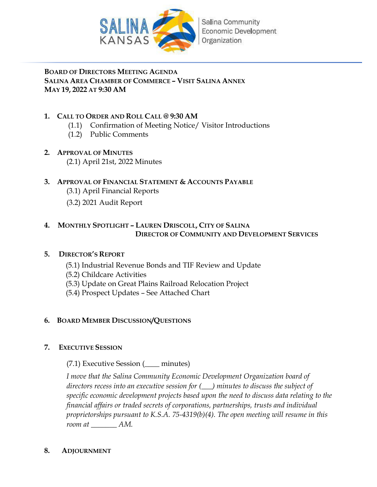

**BOARD OF DIRECTORS MEETING AGENDA SALINA AREA CHAMBER OF COMMERCE – VISIT SALINA ANNEX MAY 19, 2022 AT 9:30 AM**

### **1. CALL TO ORDER AND ROLL CALL @ 9:30 AM**

- (1.1) Confirmation of Meeting Notice/ Visitor Introductions
- (1.2) Public Comments

### **2. APPROVAL OF MINUTES**

(2.1) April 21st, 2022 Minutes

### **3. APPROVAL OF FINANCIAL STATEMENT & ACCOUNTS PAYABLE**

- (3.1) April Financial Reports
- (3.2) 2021 Audit Report

### **4. MONTHLY SPOTLIGHT – LAUREN DRISCOLL, CITY OF SALINA DIRECTOR OF COMMUNITY AND DEVELOPMENT SERVICES**

### **5. DIRECTOR'S REPORT**

- (5.1) Industrial Revenue Bonds and TIF Review and Update
- (5.2) Childcare Activities
- (5.3) Update on Great Plains Railroad Relocation Project
- (5.4) Prospect Updates See Attached Chart

### **6. BOARD MEMBER DISCUSSION/QUESTIONS**

### **7. EXECUTIVE SESSION**

(7.1) Executive Session (\_\_\_\_ minutes)

*I move that the Salina Community Economic Development Organization board of directors recess into an executive session for (\_\_\_) minutes to discuss the subject of specific economic development projects based upon the need to discuss data relating to the financial affairs or traded secrets of corporations, partnerships, trusts and individual proprietorships pursuant to K.S.A. 75-4319(b)(4). The open meeting will resume in this room at \_\_\_\_\_\_\_ AM.* 

### **8. ADJOURNMENT**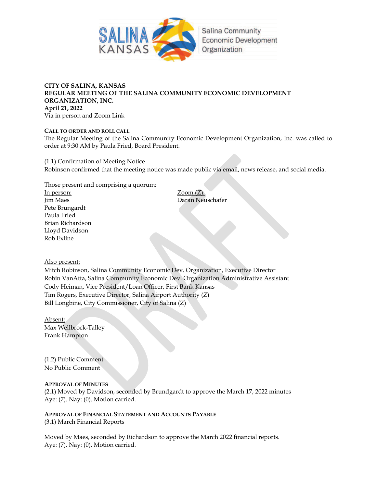

#### **CITY OF SALINA, KANSAS REGULAR MEETING OF THE SALINA COMMUNITY ECONOMIC DEVELOPMENT ORGANIZATION, INC. April 21, 2022** Via in person and Zoom Link

**CALL TO ORDER AND ROLL CALL** The Regular Meeting of the Salina Community Economic Development Organization, Inc. was called to order at 9:30 AM by Paula Fried, Board President.

(1.1) Confirmation of Meeting Notice Robinson confirmed that the meeting notice was made public via email, news release, and social media.

Those present and comprising a quorum:

In person: Zoom (Z): Jim Maes Daran Neuschafer Pete Brungardt Paula Fried Brian Richardson Lloyd Davidson Rob Exline

Also present:

Mitch Robinson, Salina Community Economic Dev. Organization, Executive Director Robin VanAtta, Salina Community Economic Dev. Organization Administrative Assistant Cody Heiman, Vice President/Loan Officer, First Bank Kansas Tim Rogers, Executive Director, Salina Airport Authority (Z) Bill Longbine, City Commissioner, City of Salina (Z)

Absent: Max Wellbrock-Talley Frank Hampton

(1.2) Public Comment No Public Comment

### **APPROVAL OF MINUTES**

(2.1) Moved by Davidson, seconded by Brundgardt to approve the March 17, 2022 minutes Aye: (7). Nay: (0). Motion carried.

**APPROVAL OF FINANCIAL STATEMENT AND ACCOUNTS PAYABLE** (3.1) March Financial Reports

Moved by Maes, seconded by Richardson to approve the March 2022 financial reports. Aye: (7). Nay: (0). Motion carried.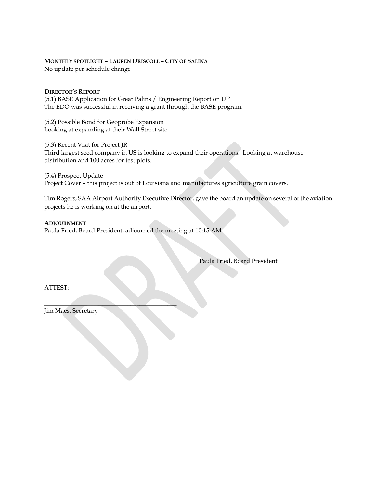#### **MONTHLY SPOTLIGHT – LAUREN DRISCOLL – CITY OF SALINA**

No update per schedule change

#### **DIRECTOR'S REPORT**

(5.1) BASE Application for Great Palins / Engineering Report on UP The EDO was successful in receiving a grant through the BASE program.

(5.2) Possible Bond for Geoprobe Expansion Looking at expanding at their Wall Street site.

(5.3) Recent Visit for Project JR Third largest seed company in US is looking to expand their operations. Looking at warehouse distribution and 100 acres for test plots.

(5.4) Prospect Update Project Cover – this project is out of Louisiana and manufactures agriculture grain covers.

Tim Rogers, SAA Airport Authority Executive Director, gave the board an update on several of the aviation projects he is working on at the airport.

 $\mathcal{L}_\text{max}$  and  $\mathcal{L}_\text{max}$  and  $\mathcal{L}_\text{max}$  and  $\mathcal{L}_\text{max}$  and  $\mathcal{L}_\text{max}$ 

#### **ADJOURNMENT**

Paula Fried, Board President, adjourned the meeting at 10:15 AM

 $\overline{\phantom{a}}$ 

Paula Fried, Board President

ATTEST:

Jim Maes, Secretary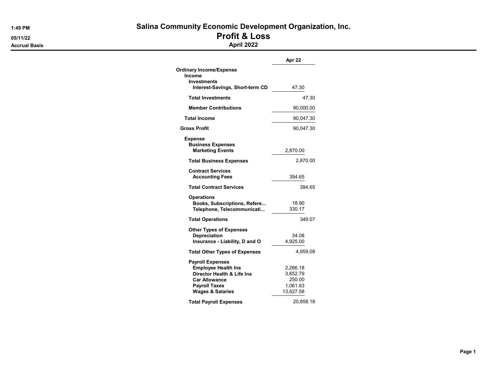Accrual Basis **April 2022** 

## 1:49 PM Salina Community Economic Development Organization, Inc.

05/11/22 **Profit & Loss** 

|                                                                                                                                                                    | Apr 22                                                  |
|--------------------------------------------------------------------------------------------------------------------------------------------------------------------|---------------------------------------------------------|
| <b>Ordinary Income/Expense</b><br><b>Income</b><br>Investments                                                                                                     |                                                         |
| Interest-Savings, Short-term CD                                                                                                                                    | 47.30                                                   |
| <b>Total Investments</b>                                                                                                                                           | 47.30                                                   |
| <b>Member Contributions</b>                                                                                                                                        | 90,000.00                                               |
| <b>Total Income</b>                                                                                                                                                | 90,047.30                                               |
| <b>Gross Profit</b>                                                                                                                                                | 90,047.30                                               |
| <b>Expense</b>                                                                                                                                                     |                                                         |
| <b>Business Expenses</b><br><b>Marketing Events</b>                                                                                                                | 2,870.00                                                |
| <b>Total Business Expenses</b>                                                                                                                                     | 2,870.00                                                |
| <b>Contract Services</b><br><b>Accounting Fees</b>                                                                                                                 | 394.65                                                  |
| <b>Total Contract Services</b>                                                                                                                                     | 394.65                                                  |
| <b>Operations</b><br>Books, Subscriptions, Refere<br>Telephone, Telecommunicati                                                                                    | 18.90<br>330.17                                         |
| <b>Total Operations</b>                                                                                                                                            | 349.07                                                  |
| <b>Other Types of Expenses</b><br><b>Depreciation</b><br>Insurance - Liability, D and O                                                                            | 34.08<br>4,925.00                                       |
| <b>Total Other Types of Expenses</b>                                                                                                                               | 4,959.08                                                |
| <b>Payroll Expenses</b><br><b>Employee Health Ins</b><br>Director Health & Life Ins<br><b>Car Allowance</b><br><b>Payroll Taxes</b><br><b>Wages &amp; Salaries</b> | 2,266.18<br>3,652.79<br>250.00<br>1,061.63<br>13,627.58 |
| <b>Total Payroll Expenses</b>                                                                                                                                      | 20,858.18                                               |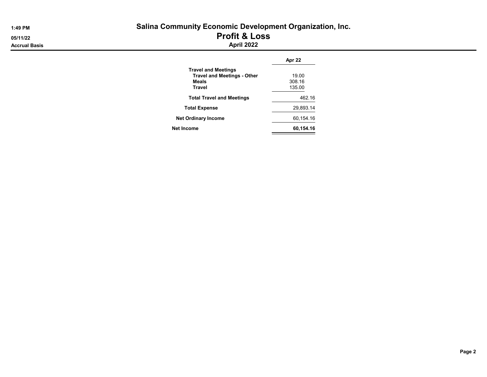| 1:49 PM              | <b>Salina Community Economic Development Organization, Inc.</b> |  |  |  |  |  |
|----------------------|-----------------------------------------------------------------|--|--|--|--|--|
| 05/11/22             | <b>Profit &amp; Loss</b>                                        |  |  |  |  |  |
| <b>Accrual Basis</b> | <b>April 2022</b>                                               |  |  |  |  |  |
|                      | Apr 22                                                          |  |  |  |  |  |

|                                    | Apr 22    |  |  |
|------------------------------------|-----------|--|--|
| <b>Travel and Meetings</b>         |           |  |  |
| <b>Travel and Meetings - Other</b> | 19.00     |  |  |
| Meals                              | 308.16    |  |  |
| Travel                             | 135.00    |  |  |
| <b>Total Travel and Meetings</b>   | 462.16    |  |  |
| <b>Total Expense</b>               | 29,893.14 |  |  |
| <b>Net Ordinary Income</b>         | 60,154.16 |  |  |
| Net Income                         | 60,154.16 |  |  |
|                                    |           |  |  |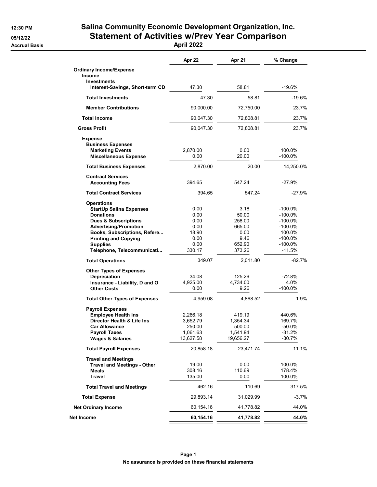### 12:30 PM Salina Community Economic Development Organization, Inc. 05/12/22 Statement of Activities w/Prev Year Comparison

Accrual Basis April 2022

|                                                                  | Apr 22                | Apr 21                | % Change             |
|------------------------------------------------------------------|-----------------------|-----------------------|----------------------|
| <b>Ordinary Income/Expense</b>                                   |                       |                       |                      |
| Income<br><b>Investments</b>                                     |                       |                       |                      |
| Interest-Savings, Short-term CD                                  | 47.30                 | 58.81                 | $-19.6%$             |
| <b>Total Investments</b>                                         | 47.30                 | 58.81                 | $-19.6%$             |
| <b>Member Contributions</b>                                      | 90,000.00             | 72,750.00             | 23.7%                |
| <b>Total Income</b>                                              | 90,047.30             | 72,808.81             | 23.7%                |
| <b>Gross Profit</b>                                              | 90,047.30             | 72,808.81             | 23.7%                |
| <b>Expense</b>                                                   |                       |                       |                      |
| <b>Business Expenses</b>                                         |                       |                       |                      |
| <b>Marketing Events</b>                                          | 2,870.00              | 0.00                  | 100.0%               |
| <b>Miscellaneous Expense</b>                                     | 0.00                  | 20.00                 | $-100.0%$            |
| <b>Total Business Expenses</b>                                   | 2,870.00              | 20.00                 | 14,250.0%            |
| <b>Contract Services</b><br><b>Accounting Fees</b>               | 394.65                | 547.24                | $-27.9%$             |
| <b>Total Contract Services</b>                                   | 394.65                | 547.24                | $-27.9%$             |
|                                                                  |                       |                       |                      |
| <b>Operations</b><br><b>StartUp Salina Expenses</b>              | 0.00                  | 3.18                  | $-100.0\%$           |
| <b>Donations</b>                                                 | 0.00                  | 50.00                 | $-100.0\%$           |
| <b>Dues &amp; Subscriptions</b>                                  | 0.00                  | 258.00                | $-100.0\%$           |
| <b>Advertising/Promotion</b>                                     | 0.00                  | 665.00                | $-100.0\%$           |
| Books, Subscriptions, Refere                                     | 18.90                 | 0.00                  | 100.0%               |
| <b>Printing and Copying</b>                                      | 0.00                  | 9.46                  | $-100.0\%$           |
| <b>Supplies</b>                                                  | 0.00                  | 652.90                | -100.0%              |
| Telephone, Telecommunicati                                       | 330.17                | 373.26                | $-11.5%$             |
| <b>Total Operations</b>                                          | 349.07                | 2,011.80              | $-82.7%$             |
| <b>Other Types of Expenses</b>                                   |                       |                       |                      |
| Depreciation                                                     | 34.08                 | 125.26                | $-72.8%$             |
| Insurance - Liability, D and O                                   | 4,925.00              | 4,734.00              | 4.0%                 |
| <b>Other Costs</b>                                               | 0.00                  | 9.26                  | $-100.0\%$           |
| <b>Total Other Types of Expenses</b>                             | 4,959.08              | 4,868.52              | 1.9%                 |
| <b>Payroll Expenses</b>                                          |                       |                       |                      |
| <b>Employee Health Ins</b>                                       | 2,266.18              | 419.19                | 440.6%               |
| Director Health & Life Ins                                       | 3.652.79              | 1,354.34              | 169.7%               |
| <b>Car Allowance</b>                                             | 250.00                | 500.00                | $-50.0%$             |
| <b>Payroll Taxes</b><br><b>Wages &amp; Salaries</b>              | 1,061.63<br>13,627.58 | 1,541.94<br>19,656.27 | $-31.2%$<br>$-30.7%$ |
| <b>Total Payroll Expenses</b>                                    | 20,858.18             | 23,471.74             | $-11.1%$             |
|                                                                  |                       |                       |                      |
| <b>Travel and Meetings</b><br><b>Travel and Meetings - Other</b> | 19.00                 | 0.00                  | 100.0%               |
| Meals                                                            | 308.16                | 110.69                | 178.4%               |
| <b>Travel</b>                                                    | 135.00                | 0.00                  | 100.0%               |
| <b>Total Travel and Meetings</b>                                 | 462.16                | 110.69                | 317.5%               |
| <b>Total Expense</b>                                             | 29,893.14             | 31,029.99             | $-3.7\%$             |
| <b>Net Ordinary Income</b>                                       | 60,154.16             | 41,778.82             | 44.0%                |
| Net Income                                                       | 60,154.16             | 41,778.82             | 44.0%                |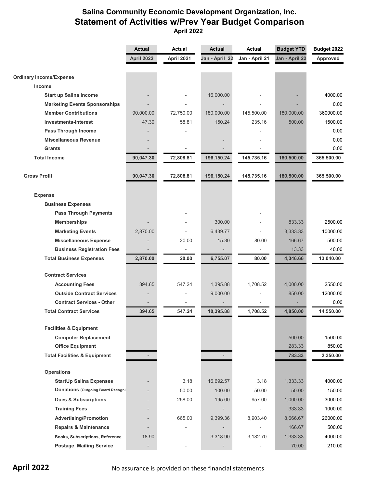### **Salina Community Economic Development Organization, Inc. Statement of Activities w/Prev Year Budget Comparison April 2022**

|                                                                      | <b>Actual</b>  | Actual                   | <b>Actual</b>  | Actual                   | <b>Budget YTD</b> | Budget 2022      |
|----------------------------------------------------------------------|----------------|--------------------------|----------------|--------------------------|-------------------|------------------|
|                                                                      | April 2022     | April 2021               | Jan - April 22 | Jan - April 21           | Jan - April 22    | Approved         |
| <b>Ordinary Income/Expense</b>                                       |                |                          |                |                          |                   |                  |
| Income                                                               |                |                          |                |                          |                   |                  |
| <b>Start up Salina Income</b>                                        |                |                          | 16,000.00      |                          |                   | 4000.00          |
| <b>Marketing Events Sponsorships</b>                                 |                |                          |                |                          |                   | 0.00             |
| <b>Member Contributions</b>                                          | 90,000.00      | 72,750.00                | 180,000.00     | 145,500.00               | 180,000.00        | 360000.00        |
| <b>Investments-Interest</b>                                          | 47.30          | 58.81                    | 150.24         | 235.16                   | 500.00            | 1500.00          |
| <b>Pass Through Income</b>                                           |                |                          |                |                          |                   | 0.00             |
| <b>Miscellaneous Revenue</b>                                         |                |                          |                |                          |                   | 0.00             |
| <b>Grants</b>                                                        |                |                          |                |                          |                   | 0.00             |
| <b>Total Income</b>                                                  | 90,047.30      | 72,808.81                | 196,150.24     | 145,735.16               | 180,500.00        | 365,500.00       |
|                                                                      |                |                          |                |                          |                   |                  |
| <b>Gross Profit</b>                                                  | 90,047.30      | 72,808.81                | 196,150.24     | 145,735.16               | 180,500.00        | 365,500.00       |
|                                                                      |                |                          |                |                          |                   |                  |
| <b>Expense</b>                                                       |                |                          |                |                          |                   |                  |
| <b>Business Expenses</b>                                             |                |                          |                |                          |                   |                  |
| <b>Pass Through Payments</b>                                         |                |                          |                |                          |                   |                  |
| <b>Memberships</b>                                                   |                |                          | 300.00         |                          | 833.33            | 2500.00          |
| <b>Marketing Events</b>                                              | 2,870.00       |                          | 6,439.77       |                          | 3,333.33          | 10000.00         |
| <b>Miscellaneous Expense</b>                                         |                | 20.00                    | 15.30          | 80.00                    | 166.67            | 500.00           |
| <b>Business Registration Fees</b>                                    |                |                          |                |                          | 13.33             | 40.00            |
| <b>Total Business Expenses</b>                                       | 2,870.00       | 20.00                    | 6,755.07       | 80.00                    | 4,346.66          | 13,040.00        |
| <b>Contract Services</b>                                             |                |                          |                |                          |                   |                  |
|                                                                      |                |                          |                |                          | 4,000.00          | 2550.00          |
| <b>Accounting Fees</b>                                               | 394.65         | 547.24                   | 1,395.88       | 1,708.52                 |                   |                  |
| <b>Outside Contract Services</b><br><b>Contract Services - Other</b> |                |                          | 9,000.00       |                          | 850.00            | 12000.00<br>0.00 |
| <b>Total Contract Services</b>                                       | 394.65         | 547.24                   |                |                          | 4,850.00          |                  |
|                                                                      |                |                          | 10,395.88      | 1,708.52                 |                   | 14,550.00        |
| <b>Facilities &amp; Equipment</b>                                    |                |                          |                |                          |                   |                  |
| <b>Computer Replacement</b>                                          |                |                          |                |                          | 500.00            | 1500.00          |
| <b>Office Equipment</b>                                              |                |                          |                |                          | 283.33            | 850.00           |
| <b>Total Facilities &amp; Equipment</b>                              |                |                          |                |                          | 783.33            | 2,350.00         |
| <b>Operations</b>                                                    |                |                          |                |                          |                   |                  |
| <b>StartUp Salina Expenses</b>                                       |                | 3.18                     | 16,692.57      | 3.18                     | 1,333.33          | 4000.00          |
| <b>Donations (Outgoing Board Recogni</b>                             |                | 50.00                    | 100.00         | 50.00                    | 50.00             | 150.00           |
| <b>Dues &amp; Subscriptions</b>                                      |                | 258.00                   | 195.00         | 957.00                   | 1,000.00          | 3000.00          |
| <b>Training Fees</b>                                                 |                |                          |                | $\overline{\phantom{a}}$ | 333.33            | 1000.00          |
| <b>Advertising/Promotion</b>                                         |                | 665.00                   | 9,399.36       | 8,903.40                 | 8,666.67          | 26000.00         |
| <b>Repairs &amp; Maintenance</b>                                     |                |                          |                |                          | 166.67            | 500.00           |
|                                                                      |                |                          |                |                          |                   | 4000.00          |
| Books, Subscriptions, Reference                                      | 18.90          | $\overline{\phantom{0}}$ | 3,318.90       | 3,182.70                 | 1,333.33          |                  |
| <b>Postage, Mailing Service</b>                                      | $\overline{a}$ |                          |                |                          | 70.00             | 210.00           |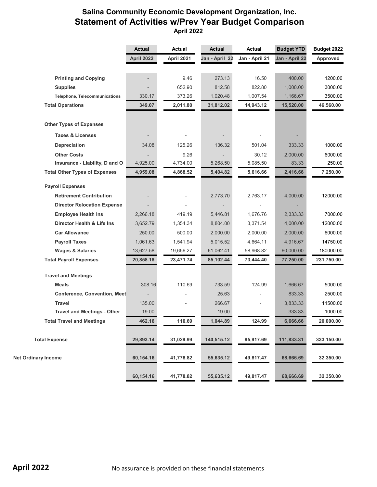### **Salina Community Economic Development Organization, Inc. Statement of Activities w/Prev Year Budget Comparison April 2022**

|                                      | <b>Actual</b> | <b>Actual</b> | <b>Actual</b>  | <b>Actual</b>  | <b>Budget YTD</b> | Budget 2022 |
|--------------------------------------|---------------|---------------|----------------|----------------|-------------------|-------------|
|                                      | April 2022    | April 2021    | Jan - April 22 | Jan - April 21 | Jan - April 22    | Approved    |
|                                      |               |               |                |                |                   |             |
| <b>Printing and Copying</b>          |               | 9.46          | 273.13         | 16.50          | 400.00            | 1200.00     |
| <b>Supplies</b>                      |               | 652.90        | 812.58         | 822.80         | 1,000.00          | 3000.00     |
| <b>Telephone, Telecommunications</b> | 330.17        | 373.26        | 1,020.48       | 1,007.54       | 1,166.67          | 3500.00     |
| <b>Total Operations</b>              | 349.07        | 2,011.80      | 31,812.02      | 14,943.12      | 15,520.00         | 46,560.00   |
| <b>Other Types of Expenses</b>       |               |               |                |                |                   |             |
| <b>Taxes &amp; Licenses</b>          |               |               |                |                |                   |             |
| Depreciation                         | 34.08         | 125.26        | 136.32         | 501.04         | 333.33            | 1000.00     |
| <b>Other Costs</b>                   |               | 9.26          |                | 30.12          | 2,000.00          | 6000.00     |
| Insurance - Liability, D and O       | 4,925.00      | 4,734.00      | 5,268.50       | 5,085.50       | 83.33             | 250.00      |
| <b>Total Other Types of Expenses</b> | 4,959.08      | 4,868.52      | 5,404.82       | 5,616.66       | 2,416.66          | 7,250.00    |
| <b>Payroll Expenses</b>              |               |               |                |                |                   |             |
| <b>Retirement Contribution</b>       |               |               | 2,773.70       | 2,763.17       | 4,000.00          | 12000.00    |
| <b>Director Relocation Expense</b>   |               |               |                |                |                   |             |
| <b>Employee Health Ins</b>           | 2,266.18      | 419.19        | 5,446.81       | 1,676.76       | 2,333.33          | 7000.00     |
| Director Health & Life Ins           | 3,652.79      | 1,354.34      | 8,804.00       | 3,371.54       | 4,000.00          | 12000.00    |
| <b>Car Allowance</b>                 | 250.00        | 500.00        | 2,000.00       | 2,000.00       | 2,000.00          | 6000.00     |
| <b>Payroll Taxes</b>                 | 1,061.63      | 1,541.94      | 5,015.52       | 4,664.11       | 4,916.67          | 14750.00    |
| <b>Wages &amp; Salaries</b>          | 13,627.58     | 19,656.27     | 61,062.41      | 58,968.82      | 60,000.00         | 180000.00   |
| <b>Total Payroll Expenses</b>        | 20,858.18     | 23,471.74     | 85,102.44      | 73,444.40      | 77,250.00         | 231,750.00  |
| <b>Travel and Meetings</b>           |               |               |                |                |                   |             |
| <b>Meals</b>                         | 308.16        | 110.69        | 733.59         | 124.99         | 1,666.67          | 5000.00     |
| <b>Conference, Convention, Meet</b>  |               |               | 25.63          |                | 833.33            | 2500.00     |
| <b>Travel</b>                        | 135.00        |               | 266.67         |                | 3,833.33          | 11500.00    |
| <b>Travel and Meetings - Other</b>   | 19.00         |               | 19.00          |                | 333.33            | 1000.00     |
| <b>Total Travel and Meetings</b>     | 462.16        | 110.69        | 1,044.89       | 124.99         | 6,666.66          | 20,000.00   |
|                                      |               |               |                |                |                   |             |
| <b>Total Expense</b>                 | 29,893.14     | 31,029.99     | 140,515.12     | 95,917.69      | 111,833.31        | 333,150.00  |
| <b>Net Ordinary Income</b>           | 60,154.16     | 41,778.82     | 55,635.12      | 49,817.47      | 68,666.69         | 32,350.00   |
|                                      | 60,154.16     | 41,778.82     | 55,635.12      | 49,817.47      | 68,666.69         | 32,350.00   |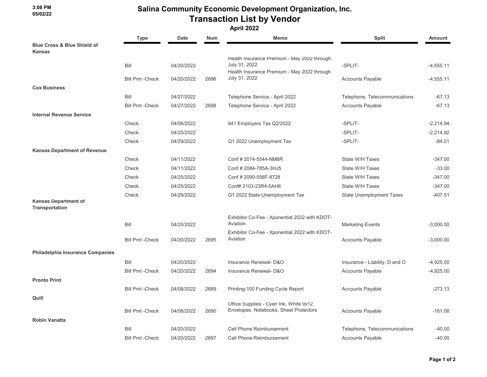### Salina Community Economic Development Organization, Inc. Transaction List by Vendor

|                                                         | <b>Type</b>             | <b>Date</b> | <b>Num</b> | Memo                                                                                                        | <b>Split</b>                    | Amount      |
|---------------------------------------------------------|-------------------------|-------------|------------|-------------------------------------------------------------------------------------------------------------|---------------------------------|-------------|
| <b>Blue Cross &amp; Blue Shield of</b><br><b>Kansas</b> |                         |             |            |                                                                                                             |                                 |             |
|                                                         | Bill                    | 04/20/2022  |            | Health Insurance Premium - May 2022 through<br>July 31, 2022<br>Health Insurance Premium - May 2022 through | -SPLIT-                         | $-4,555.11$ |
|                                                         | <b>Bill Pmt - Check</b> | 04/20/2022  | 2696       | July 31, 2022                                                                                               | <b>Accounts Payable</b>         | $-4,555.11$ |
| <b>Cox Business</b>                                     |                         |             |            |                                                                                                             |                                 |             |
|                                                         | Bill                    | 04/27/2022  |            | Telephone Service - April 2022                                                                              | Telephone, Telecommunications   | -67.13      |
|                                                         | <b>Bill Pmt - Check</b> | 04/27/2022  | 2698       | Telephone Service - April 2022                                                                              | <b>Accounts Payable</b>         | $-67.13$    |
| <b>Internal Revenue Service</b>                         |                         |             |            |                                                                                                             |                                 |             |
|                                                         | Check                   | 04/06/2022  |            | 941 Employers Tax Q2/2022                                                                                   | -SPLIT-                         | $-2.214.94$ |
|                                                         | Check                   | 04/20/2022  |            |                                                                                                             | -SPLIT-                         | $-2,214.92$ |
|                                                         | Check                   | 04/29/2022  |            | Q1 2022 Unemployment Tax                                                                                    | -SPLIT-                         | $-84.01$    |
| <b>Kansas Department of Revenue</b>                     |                         |             |            |                                                                                                             |                                 |             |
|                                                         | Check                   | 04/11/2022  |            | Conf # 2074-5544-NM6R                                                                                       | State W/H Taxes                 | -347.00     |
|                                                         | Check                   | 04/11/2022  |            | Conf # 2084-785A-3HJ5                                                                                       | State W/H Taxes                 | $-33.00$    |
|                                                         | Check                   | 04/25/2022  |            | Conf # 2090-556F-8728                                                                                       | State W/H Taxes                 | $-347.00$   |
|                                                         | Check                   | 04/25/2022  |            | Conf# 2103-23R4-5AH6                                                                                        | State W/H Taxes                 | $-347.00$   |
|                                                         | Check                   | 04/29/2022  |            | Q1 2022 State Unemployment Tax                                                                              | <b>State Unemployment Taxes</b> | $-407.51$   |
| <b>Kansas Department of</b><br><b>Transportation</b>    |                         |             |            |                                                                                                             |                                 |             |
|                                                         |                         |             |            |                                                                                                             |                                 |             |
|                                                         | Bill                    | 04/20/2022  |            | Exhibitor Co-Fee - Xponential 2022 with KDOT-<br>Aviation                                                   | <b>Marketing Events</b>         | $-3,000.00$ |
|                                                         | <b>Bill Pmt -Check</b>  | 04/20/2022  | 2695       | Exhibitor Co-Fee - Xponential 2022 with KDOT-<br>Aviation                                                   |                                 |             |
|                                                         |                         |             |            |                                                                                                             | <b>Accounts Payable</b>         | $-3,000.00$ |
| Philadelphia Insurance Companies                        |                         |             |            |                                                                                                             |                                 |             |
|                                                         | Bill                    | 04/20/2022  |            | Insurance Renewal- D&O                                                                                      | Insurance - Liability, D and O  | $-4,925.00$ |
|                                                         | <b>Bill Pmt - Check</b> | 04/20/2022  | 2694       | Insurance Renewal- D&O                                                                                      | <b>Accounts Payable</b>         | $-4,925.00$ |
| <b>Pronto Print</b>                                     |                         |             |            |                                                                                                             |                                 |             |
|                                                         | <b>Bill Pmt -Check</b>  | 04/08/2022  | 2689       | Printing-100 Funding Cycle Report                                                                           | <b>Accounts Payable</b>         | $-273.13$   |
| Quill                                                   |                         |             |            |                                                                                                             |                                 |             |
|                                                         |                         |             |            | Office Supplies - Cyan Ink, White 9x12<br>Envelopes, Notebooks, Sheet Protectors                            |                                 |             |
|                                                         | <b>Bill Pmt -Check</b>  | 04/08/2022  | 2690       |                                                                                                             | <b>Accounts Payable</b>         | $-181.08$   |
| <b>Robin Vanatta</b>                                    |                         |             |            |                                                                                                             |                                 |             |
|                                                         | Bill                    | 04/20/2022  |            | Cell Phone Reimbursement                                                                                    | Telephone, Telecommunications   | $-40.00$    |
|                                                         | <b>Bill Pmt - Check</b> | 04/20/2022  | 2697       | Cell Phone Reimbursement                                                                                    | <b>Accounts Payable</b>         | -40.00      |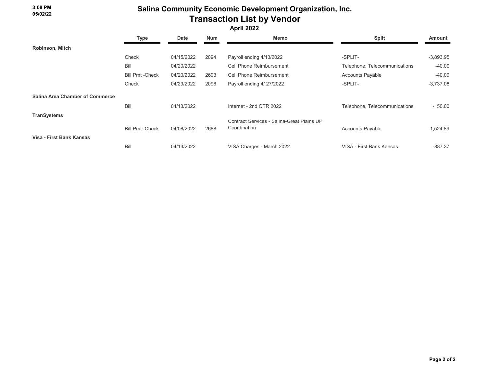### Salina Community Economic Development Organization, Inc. Transaction List by Vendor

|                                        | Type                    | <b>Date</b> | <b>Num</b> | Memo                                                       | <b>Split</b>                  | Amount      |
|----------------------------------------|-------------------------|-------------|------------|------------------------------------------------------------|-------------------------------|-------------|
| Robinson, Mitch                        |                         |             |            |                                                            |                               |             |
|                                        | Check                   | 04/15/2022  | 2094       | Payroll ending 4/13/2022                                   | -SPLIT-                       | $-3,893.95$ |
|                                        | Bill                    | 04/20/2022  |            | Cell Phone Reimbursement                                   | Telephone, Telecommunications | $-40.00$    |
|                                        | <b>Bill Pmt - Check</b> | 04/20/2022  | 2693       | Cell Phone Reimbursement                                   | <b>Accounts Payable</b>       | $-40.00$    |
|                                        | Check                   | 04/29/2022  | 2096       | Payroll ending 4/ 27/2022                                  | -SPLIT-                       | $-3,737.08$ |
| <b>Salina Area Chamber of Commerce</b> |                         |             |            |                                                            |                               |             |
|                                        | Bill                    | 04/13/2022  |            | Internet - 2nd QTR 2022                                    | Telephone, Telecommunications | $-150.00$   |
| <b>TranSystems</b>                     |                         |             |            |                                                            |                               |             |
| Visa - First Bank Kansas               | <b>Bill Pmt - Check</b> | 04/08/2022  | 2688       | Contract Services - Salina-Great Plains UP<br>Coordination | <b>Accounts Payable</b>       | $-1,524.89$ |
|                                        | Bill                    | 04/13/2022  |            | VISA Charges - March 2022                                  | VISA - First Bank Kansas      | $-887.37$   |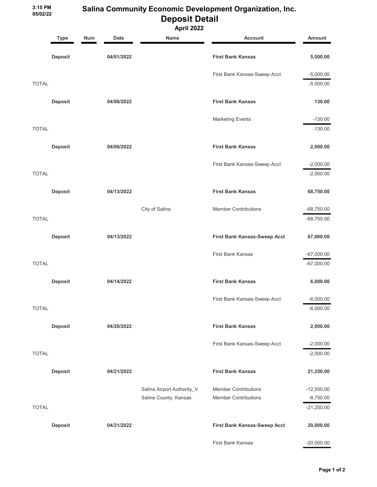3:15 PM 05/02/22

### Salina Community Economic Development Organization, Inc. Deposit Detail

|              | <b>Type</b>    | <b>Num</b> | <b>Date</b> | Name                       | <b>Account</b>               | <b>Amount</b> |  |
|--------------|----------------|------------|-------------|----------------------------|------------------------------|---------------|--|
|              | <b>Deposit</b> |            | 04/01/2022  |                            | <b>First Bank Kansas</b>     | 5,000.00      |  |
|              |                |            |             |                            | First Bank Kansas-Sweep Acct | $-5,000.00$   |  |
| <b>TOTAL</b> |                |            |             |                            |                              | $-5,000.00$   |  |
|              | <b>Deposit</b> |            | 04/06/2022  |                            | <b>First Bank Kansas</b>     | 130.00        |  |
|              |                |            |             |                            | <b>Marketing Events</b>      | $-130.00$     |  |
| <b>TOTAL</b> |                |            |             |                            |                              | $-130.00$     |  |
|              | Deposit        |            | 04/06/2022  |                            | <b>First Bank Kansas</b>     | 2,000.00      |  |
|              |                |            |             |                            | First Bank Kansas-Sweep Acct | $-2,000.00$   |  |
| <b>TOTAL</b> |                |            |             |                            |                              | $-2,000.00$   |  |
|              | <b>Deposit</b> |            | 04/13/2022  |                            | <b>First Bank Kansas</b>     | 68,750.00     |  |
|              |                |            |             | City of Salina             | <b>Member Contributions</b>  | $-68,750.00$  |  |
| <b>TOTAL</b> |                |            |             |                            |                              | $-68,750.00$  |  |
|              | Deposit        |            | 04/13/2022  |                            | First Bank Kansas-Sweep Acct | 67,000.00     |  |
|              |                |            |             |                            | <b>First Bank Kansas</b>     | $-67,000.00$  |  |
| <b>TOTAL</b> |                |            |             |                            |                              | $-67,000.00$  |  |
|              | Deposit        |            | 04/14/2022  |                            | <b>First Bank Kansas</b>     | 6,000.00      |  |
|              |                |            |             |                            | First Bank Kansas-Sweep Acct | $-6,000.00$   |  |
| <b>TOTAL</b> |                |            |             |                            |                              | $-6,000.00$   |  |
|              | Deposit        |            | 04/20/2022  |                            | <b>First Bank Kansas</b>     | 2,000.00      |  |
|              |                |            |             |                            | First Bank Kansas-Sweep Acct | $-2,000.00$   |  |
| <b>TOTAL</b> |                |            |             |                            |                              | $-2,000.00$   |  |
|              | <b>Deposit</b> |            | 04/21/2022  |                            | <b>First Bank Kansas</b>     | 21,250.00     |  |
|              |                |            |             | Salina Airport Authority_V | <b>Member Contributions</b>  | $-12,500.00$  |  |
|              |                |            |             | Saline County, Kansas      | <b>Member Contributions</b>  | $-8,750.00$   |  |
| <b>TOTAL</b> |                |            |             |                            |                              | $-21,250.00$  |  |
|              | <b>Deposit</b> |            | 04/21/2022  |                            | First Bank Kansas-Sweep Acct | 20,000.00     |  |
|              |                |            |             |                            | First Bank Kansas            | $-20,000.00$  |  |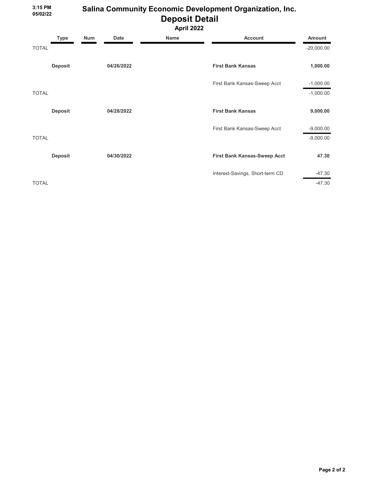3:15 PM 05/02/22

### Salina Community Economic Development Organization, Inc. Deposit Detail

|              | <b>Type</b>    | <b>Num</b> | <b>Date</b> | Name | <b>Account</b>                  | <b>Amount</b> |
|--------------|----------------|------------|-------------|------|---------------------------------|---------------|
| <b>TOTAL</b> |                |            |             |      |                                 | $-20,000.00$  |
|              | <b>Deposit</b> |            | 04/26/2022  |      | <b>First Bank Kansas</b>        | 1,000.00      |
|              |                |            |             |      | First Bank Kansas-Sweep Acct    | $-1,000.00$   |
| <b>TOTAL</b> |                |            |             |      |                                 | $-1,000.00$   |
|              | <b>Deposit</b> |            | 04/28/2022  |      | <b>First Bank Kansas</b>        | 9,000.00      |
|              |                |            |             |      | First Bank Kansas-Sweep Acct    | $-9,000.00$   |
| <b>TOTAL</b> |                |            |             |      |                                 | $-9,000.00$   |
|              | <b>Deposit</b> |            | 04/30/2022  |      | First Bank Kansas-Sweep Acct    | 47.30         |
|              |                |            |             |      | Interest-Savings, Short-term CD | $-47.30$      |
| <b>TOTAL</b> |                |            |             |      |                                 | $-47.30$      |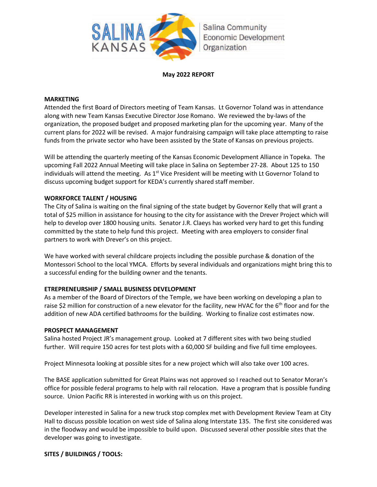

#### **May 2022 REPORT**

#### **MARKETING**

Attended the first Board of Directors meeting of Team Kansas. Lt Governor Toland was in attendance along with new Team Kansas Executive Director Jose Romano. We reviewed the by-laws of the organization, the proposed budget and proposed marketing plan for the upcoming year. Many of the current plans for 2022 will be revised. A major fundraising campaign will take place attempting to raise funds from the private sector who have been assisted by the State of Kansas on previous projects.

Will be attending the quarterly meeting of the Kansas Economic Development Alliance in Topeka. The upcoming Fall 2022 Annual Meeting will take place in Salina on September 27-28. About 125 to 150 individuals will attend the meeting. As 1<sup>st</sup> Vice President will be meeting with Lt Governor Toland to discuss upcoming budget support for KEDA's currently shared staff member.

### **WORKFORCE TALENT / HOUSING**

The City of Salina is waiting on the final signing of the state budget by Governor Kelly that will grant a total of \$25 million in assistance for housing to the city for assistance with the Drever Project which will help to develop over 1800 housing units. Senator J.R. Claeys has worked very hard to get this funding committed by the state to help fund this project. Meeting with area employers to consider final partners to work with Drever's on this project.

We have worked with several childcare projects including the possible purchase & donation of the Montessori School to the local YMCA. Efforts by several individuals and organizations might bring this to a successful ending for the building owner and the tenants.

### **ETREPRENEURSHIP / SMALL BUSINESS DEVELOPMENT**

As a member of the Board of Directors of the Temple, we have been working on developing a plan to raise \$2 million for construction of a new elevator for the facility, new HVAC for the  $6<sup>th</sup>$  floor and for the addition of new ADA certified bathrooms for the building. Working to finalize cost estimates now.

#### **PROSPECT MANAGEMENT**

Salina hosted Project JR's management group. Looked at 7 different sites with two being studied further. Will require 150 acres for test plots with a 60,000 SF building and five full time employees.

Project Minnesota looking at possible sites for a new project which will also take over 100 acres.

The BASE application submitted for Great Plains was not approved so I reached out to Senator Moran's office for possible federal programs to help with rail relocation. Have a program that is possible funding source. Union Pacific RR is interested in working with us on this project.

Developer interested in Salina for a new truck stop complex met with Development Review Team at City Hall to discuss possible location on west side of Salina along Interstate 135. The first site considered was in the floodway and would be impossible to build upon. Discussed several other possible sites that the developer was going to investigate.

### **SITES / BUILDINGS / TOOLS:**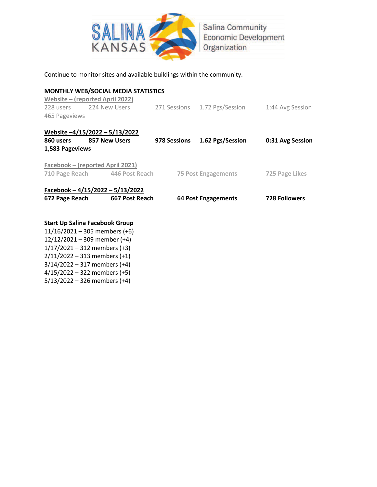

### Continue to monitor sites and available buildings within the community.

### **MONTHLY WEB/SOCIAL MEDIA STATISTICS Website – (reported April 2022)**  228 users 224 New Users 271 Sessions 1.72 Pgs/Session 1:44 Avg Session 465 Pageviews **Website –4/15/2022 – 5/13/2022 860 users 857 New Users 978 Sessions 1.62 Pgs/Session 0:31 Avg Session 1,583 Pageviews Facebook – (reported April 2021) 710 Page Reach 446 Post Reach 75 Post Engagements 725 Page Likes Facebook – 4/15/2022 – 5/13/2022 672 Page Reach 667 Post Reach 64 Post Engagements 728 Followers**

### **Start Up Salina Facebook Group**

11/16/2021 – 305 members (+6) 12/12/2021 – 309 member (+4)  $1/17/2021 - 312$  members (+3) 2/11/2022 – 313 members (+1) 3/14/2022 – 317 members (+4) 4/15/2022 – 322 members (+5) 5/13/2022 – 326 members (+4)